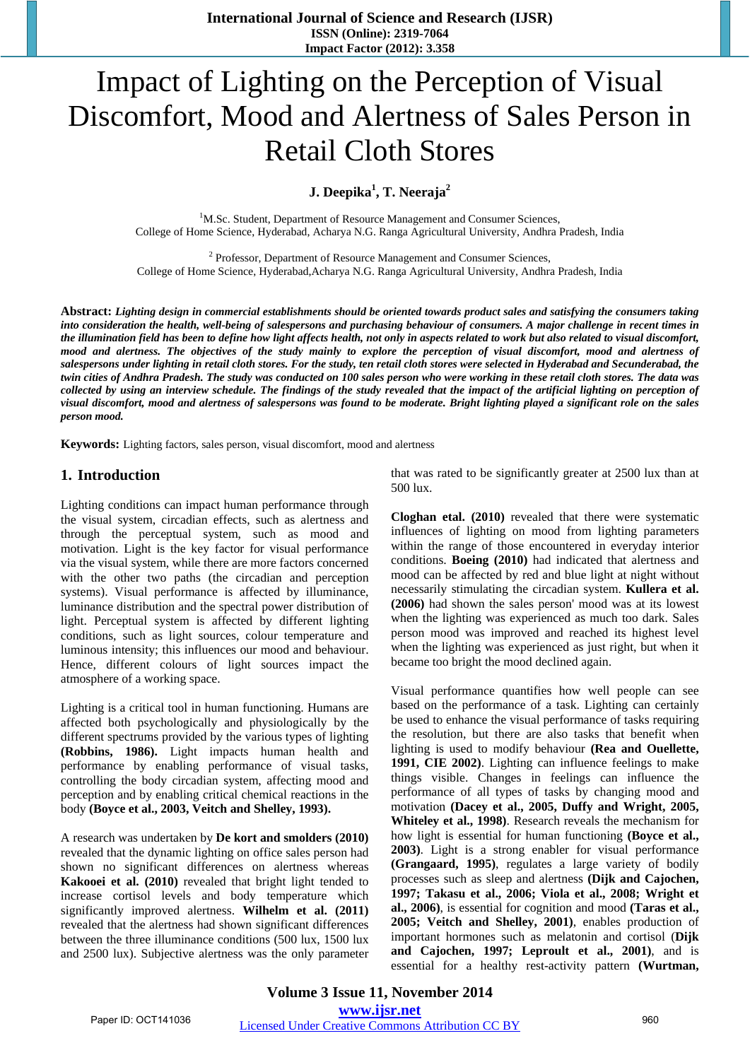**International Journal of Science and Research (IJSR) ISSN (Online): 2319-7064 Impact Factor (2012): 3.358** 

# Impact of Lighting on the Perception of Visual Discomfort, Mood and Alertness of Sales Person in Retail Cloth Stores

**J. Deepika<sup>1</sup> , T. Neeraja<sup>2</sup>**

<sup>1</sup>M.Sc. Student, Department of Resource Management and Consumer Sciences, College of Home Science, Hyderabad, Acharya N.G. Ranga Agricultural University, Andhra Pradesh, India

 $2$  Professor, Department of Resource Management and Consumer Sciences, College of Home Science, Hyderabad,Acharya N.G. Ranga Agricultural University, Andhra Pradesh, India

**Abstract:** *Lighting design in commercial establishments should be oriented towards product sales and satisfying the consumers taking into consideration the health, well-being of salespersons and purchasing behaviour of consumers. A major challenge in recent times in the illumination field has been to define how light affects health, not only in aspects related to work but also related to visual discomfort, mood and alertness. The objectives of the study mainly to explore the perception of visual discomfort, mood and alertness of salespersons under lighting in retail cloth stores. For the study, ten retail cloth stores were selected in Hyderabad and Secunderabad, the twin cities of Andhra Pradesh. The study was conducted on 100 sales person who were working in these retail cloth stores. The data was collected by using an interview schedule. The findings of the study revealed that the impact of the artificial lighting on perception of visual discomfort, mood and alertness of salespersons was found to be moderate. Bright lighting played a significant role on the sales person mood.*

**Keywords:** Lighting factors, sales person, visual discomfort, mood and alertness

## **1. Introduction**

Lighting conditions can impact human performance through the visual system, circadian effects, such as alertness and through the perceptual system, such as mood and motivation. Light is the key factor for visual performance via the visual system, while there are more factors concerned with the other two paths (the circadian and perception systems). Visual performance is affected by illuminance, luminance distribution and the spectral power distribution of light. Perceptual system is affected by different lighting conditions, such as light sources, colour temperature and luminous intensity; this influences our mood and behaviour. Hence, different colours of light sources impact the atmosphere of a working space.

Lighting is a critical tool in human functioning. Humans are affected both psychologically and physiologically by the different spectrums provided by the various types of lighting **(Robbins, 1986).** Light impacts human health and performance by enabling performance of visual tasks, controlling the body circadian system, affecting mood and perception and by enabling critical chemical reactions in the body **(Boyce et al., 2003, Veitch and Shelley, 1993).** 

A research was undertaken by **De kort and smolders (2010)** revealed that the dynamic lighting on office sales person had shown no significant differences on alertness whereas **Kakooei et al. (2010)** revealed that bright light tended to increase cortisol levels and body temperature which significantly improved alertness. **Wilhelm et al. (2011)** revealed that the alertness had shown significant differences between the three illuminance conditions (500 lux, 1500 lux and 2500 lux). Subjective alertness was the only parameter that was rated to be significantly greater at 2500 lux than at 500 lux.

**Cloghan etal. (2010)** revealed that there were systematic influences of lighting on mood from lighting parameters within the range of those encountered in everyday interior conditions. **Boeing (2010)** had indicated that alertness and mood can be affected by red and blue light at night without necessarily stimulating the circadian system. **Kullera et al. (2006)** had shown the sales person' mood was at its lowest when the lighting was experienced as much too dark. Sales person mood was improved and reached its highest level when the lighting was experienced as just right, but when it became too bright the mood declined again.

Visual performance quantifies how well people can see based on the performance of a task. Lighting can certainly be used to enhance the visual performance of tasks requiring the resolution, but there are also tasks that benefit when lighting is used to modify behaviour **(Rea and Ouellette, 1991, CIE 2002)**. Lighting can influence feelings to make things visible. Changes in feelings can influence the performance of all types of tasks by changing mood and motivation **(Dacey et al., 2005, Duffy and Wright, 2005, Whiteley et al., 1998)**. Research reveals the mechanism for how light is essential for human functioning **(Boyce et al., 2003)**. Light is a strong enabler for visual performance **(Grangaard, 1995)**, regulates a large variety of bodily processes such as sleep and alertness **(Dijk and Cajochen, 1997; Takasu et al., 2006; Viola et al., 2008; Wright et al., 2006)**, is essential for cognition and mood **(Taras et al., 2005; Veitch and Shelley, 2001)**, enables production of important hormones such as melatonin and cortisol (**Dijk and Cajochen, 1997; Leproult et al., 2001)**, and is essential for a healthy rest-activity pattern **(Wurtman,**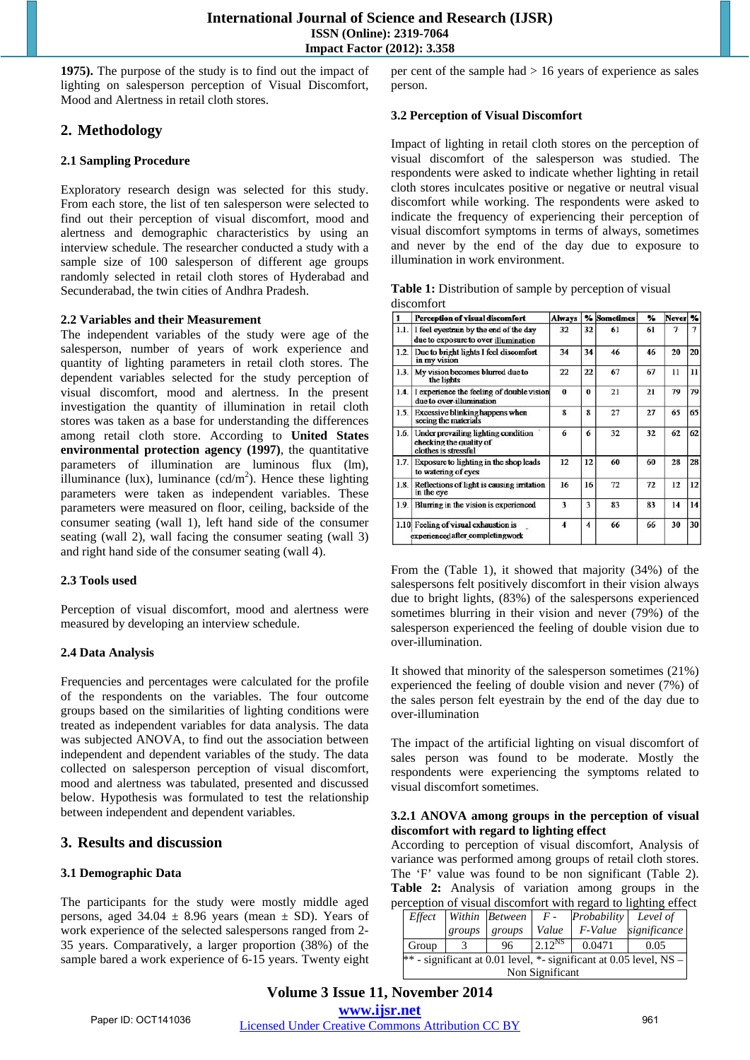**1975).** The purpose of the study is to find out the impact of lighting on salesperson perception of Visual Discomfort, Mood and Alertness in retail cloth stores.

## **2. Methodology**

## **2.1 Sampling Procedure**

Exploratory research design was selected for this study. From each store, the list of ten salesperson were selected to find out their perception of visual discomfort, mood and alertness and demographic characteristics by using an interview schedule. The researcher conducted a study with a sample size of 100 salesperson of different age groups randomly selected in retail cloth stores of Hyderabad and Secunderabad, the twin cities of Andhra Pradesh.

#### **2.2 Variables and their Measurement**

The independent variables of the study were age of the salesperson, number of years of work experience and quantity of lighting parameters in retail cloth stores. The dependent variables selected for the study perception of visual discomfort, mood and alertness. In the present investigation the quantity of illumination in retail cloth stores was taken as a base for understanding the differences among retail cloth store. According to **United States environmental protection agency (1997)**, the quantitative parameters of illumination are luminous flux (lm), illuminance (lux), luminance  $(cd/m^2)$ . Hence these lighting parameters were taken as independent variables. These parameters were measured on floor, ceiling, backside of the consumer seating (wall 1), left hand side of the consumer seating (wall 2), wall facing the consumer seating (wall 3) and right hand side of the consumer seating (wall 4).

#### **2.3 Tools used**

Perception of visual discomfort, mood and alertness were measured by developing an interview schedule.

## **2.4 Data Analysis**

Frequencies and percentages were calculated for the profile of the respondents on the variables. The four outcome groups based on the similarities of lighting conditions were treated as independent variables for data analysis. The data was subjected ANOVA, to find out the association between independent and dependent variables of the study. The data collected on salesperson perception of visual discomfort, mood and alertness was tabulated, presented and discussed below. Hypothesis was formulated to test the relationship between independent and dependent variables.

## **3. Results and discussion**

## **3.1 Demographic Data**

The participants for the study were mostly middle aged persons, aged  $34.04 \pm 8.96$  years (mean  $\pm$  SD). Years of work experience of the selected salespersons ranged from 2- 35 years. Comparatively, a larger proportion (38%) of the sample bared a work experience of 6-15 years. Twenty eight per cent of the sample had > 16 years of experience as sales person.

#### **3.2 Perception of Visual Discomfort**

Impact of lighting in retail cloth stores on the perception of visual discomfort of the salesperson was studied. The respondents were asked to indicate whether lighting in retail cloth stores inculcates positive or negative or neutral visual discomfort while working. The respondents were asked to indicate the frequency of experiencing their perception of visual discomfort symptoms in terms of always, sometimes and never by the end of the day due to exposure to illumination in work environment.

| Table 1: Distribution of sample by perception of visual |  |  |
|---------------------------------------------------------|--|--|
| discomfort                                              |  |  |

|      | Perception of visual discomfort                                                        | <b>Always</b> |          | % Sometimes | %  | Never <sup>9</sup> |    |
|------|----------------------------------------------------------------------------------------|---------------|----------|-------------|----|--------------------|----|
| 1.1. | I feel eyestrain by the end of the day<br>due to exposure to over illumination         | 32            | 32       | 61          | 61 | 7                  | 7  |
| 1.2. | Due to bright lights I feel discomfort<br>in my vision                                 | 34            | 34       | 46          | 46 | 20                 | 20 |
| 1.3. | My vision becomes blurred due to<br>the lights                                         | 22            | 22       | 67          | 67 | 11                 | 11 |
| 1.4. | I experience the feeling of double vision<br>due to over-illumination                  | $\bf{0}$      | $\bf{0}$ | 21          | 21 | 79                 | 79 |
| 1.5. | <b>Excessive blinking happens when</b><br>seeing the materials                         | 8             | 8        | 27          | 27 | 65                 | 65 |
| 1.6. | Under prevailing lighting condition<br>checking the quality of<br>clothes is stressful | 6             | 6        | 32          | 32 | 62                 | 62 |
| 1.7. | Exposure to lighting in the shop leads<br>to watering of eyes                          | 12            | 12       | 60          | 60 | 28                 | 28 |
| 1.8. | Reflections of light is causing initiation<br>in the eye                               |               | 16       | 72          | 72 | 12                 | 12 |
| 1.9. | Blurring in the vision is experienced                                                  | 3             | 3        | 83          | 83 | 14                 | 14 |
|      | 1.10 Feeling of visual exhaustion is<br>experienced after completingwork               | 4             | 4        | 66          | 66 | 30                 | 30 |

From the (Table 1), it showed that majority (34%) of the salespersons felt positively discomfort in their vision always due to bright lights, (83%) of the salespersons experienced sometimes blurring in their vision and never (79%) of the salesperson experienced the feeling of double vision due to over-illumination.

It showed that minority of the salesperson sometimes (21%) experienced the feeling of double vision and never (7%) of the sales person felt eyestrain by the end of the day due to over-illumination

The impact of the artificial lighting on visual discomfort of sales person was found to be moderate. Mostly the respondents were experiencing the symptoms related to visual discomfort sometimes.

#### **3.2.1 ANOVA among groups in the perception of visual discomfort with regard to lighting effect**

According to perception of visual discomfort, Analysis of variance was performed among groups of retail cloth stores. The 'F' value was found to be non significant (Table 2). **Table 2:** Analysis of variation among groups in the perception of visual discomfort with regard to lighting effect

| Effect                                                                  |        | Within Between | $F -$       | Probability Level of |              |  |  |
|-------------------------------------------------------------------------|--------|----------------|-------------|----------------------|--------------|--|--|
|                                                                         | groups | groups         | Value       | F-Value              | significance |  |  |
| Group                                                                   |        | 96             | $2.12^{NS}$ | 0.0471               | 0.05         |  |  |
| $**$ - significant at 0.01 level, $*$ - significant at 0.05 level, NS - |        |                |             |                      |              |  |  |
| Non Significant                                                         |        |                |             |                      |              |  |  |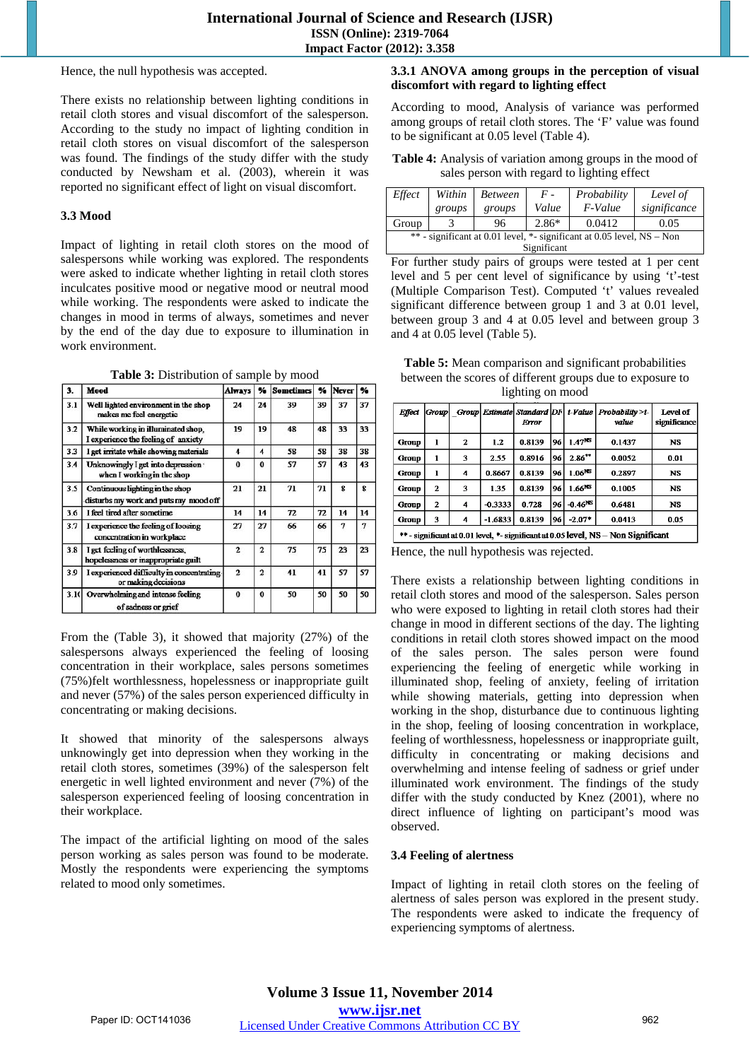Hence, the null hypothesis was accepted.

There exists no relationship between lighting conditions in retail cloth stores and visual discomfort of the salesperson. According to the study no impact of lighting condition in retail cloth stores on visual discomfort of the salesperson was found. The findings of the study differ with the study conducted by Newsham et al. (2003), wherein it was reported no significant effect of light on visual discomfort.

#### **3.3 Mood**

Impact of lighting in retail cloth stores on the mood of salespersons while working was explored. The respondents were asked to indicate whether lighting in retail cloth stores inculcates positive mood or negative mood or neutral mood while working. The respondents were asked to indicate the changes in mood in terms of always, sometimes and never by the end of the day due to exposure to illumination in work environment.

**Table 3:** Distribution of sample by mood

| 3.   | Mood                                                                      | <b>Always</b>  | ₩              | <b>Sometimes</b> | չ  | Never | %  |
|------|---------------------------------------------------------------------------|----------------|----------------|------------------|----|-------|----|
| 3.1  | Well lighted environment in the shop<br>makes me feel energetic           | 24             | 24             | 39               | 39 | 37    | 37 |
| 3.2  | While working in illuminated shop,<br>I experience the feeling of anxiety | 19             | 19             | 48               | 48 | 33    | 33 |
| 3.3  | I get irritate while showing materials                                    | 4              | 4              | 58               | 58 | 38    | 38 |
| 3.4  | Unknowingly I get into depression ·<br>when I working in the shop         | $\bf{0}$       | $\bf{0}$       | 57               | 57 | 43    | 43 |
| 3.5  | Continuous lighting in the shop<br>disturbs my work and puts my mood off  | 21             | 21             | 71               | 71 | g     | 8  |
| 3.6  | I feel tired after sometime                                               | 14             | 14             | 72               | 72 | 14    | 14 |
| 3.7  | I experience the feeling of loosing<br>concentration in workplace         | 27             | 27             | 66               | 66 | 7     | 7  |
| 3.8  | I get feeling of worthlessness,<br>hopelessness or inappropriate guilt    | $\overline{2}$ | $\overline{2}$ | 75               | 75 | 23    | 23 |
| 3.9  | I experienced difficulty in concentrating<br>or making decisions          | $\overline{2}$ | $\overline{2}$ | 41               | 41 | 57    | 57 |
| 3.10 | Overwhelming and intense feeling<br>of sadness or grief                   | $\bf{0}$       | $\bf{0}$       | 50               | 50 | 50    | 50 |

From the (Table 3), it showed that majority (27%) of the salespersons always experienced the feeling of loosing concentration in their workplace, sales persons sometimes (75%)felt worthlessness, hopelessness or inappropriate guilt and never (57%) of the sales person experienced difficulty in concentrating or making decisions.

It showed that minority of the salespersons always unknowingly get into depression when they working in the retail cloth stores, sometimes (39%) of the salesperson felt energetic in well lighted environment and never (7%) of the salesperson experienced feeling of loosing concentration in their workplace.

The impact of the artificial lighting on mood of the sales person working as sales person was found to be moderate. Mostly the respondents were experiencing the symptoms related to mood only sometimes.

## **3.3.1 ANOVA among groups in the perception of visual discomfort with regard to lighting effect**

According to mood, Analysis of variance was performed among groups of retail cloth stores. The 'F' value was found to be significant at 0.05 level (Table 4).

**Table 4:** Analysis of variation among groups in the mood of sales person with regard to lighting effect

| Effect                                                                   | Within<br>groups | <b>Between</b><br>groups | $F -$<br>Value | Probability<br>F-Value | Level of<br>significance |  |  |
|--------------------------------------------------------------------------|------------------|--------------------------|----------------|------------------------|--------------------------|--|--|
| Group                                                                    |                  | 96                       | $2.86*$        | 0.0412                 | 0.05                     |  |  |
| ** - significant at 0.01 level, *- significant at 0.05 level, $NS - Non$ |                  |                          |                |                        |                          |  |  |
| Significant                                                              |                  |                          |                |                        |                          |  |  |

For further study pairs of groups were tested at 1 per cent level and 5 per cent level of significance by using 't'-test (Multiple Comparison Test). Computed 't' values revealed significant difference between group 1 and 3 at 0.01 level, between group 3 and 4 at 0.05 level and between group 3 and 4 at 0.05 level (Table 5).

**Table 5:** Mean comparison and significant probabilities between the scores of different groups due to exposure to lighting on mood

| Effect       | Group                                                                              |   |           | Group Estimate Standard DF<br>Error |    |                    | t-Value Probability>t-<br>value | Level of<br>significance |
|--------------|------------------------------------------------------------------------------------|---|-----------|-------------------------------------|----|--------------------|---------------------------------|--------------------------|
| Group        | ı                                                                                  | 2 | 1.2       | 0.8139                              | 96 | 1.47 <sup>NS</sup> | 0.1437                          | <b>NS</b>                |
| Group        | 1                                                                                  | 3 | 2.55      | 0.8916                              | 96 | $2.86***$          | 0.0052                          | 0.01                     |
| <b>Group</b> | 1                                                                                  | 4 | 0.8667    | 0.8139                              | 96 | 1.06 <sup>NS</sup> | 0.2897                          | <b>NS</b>                |
| Group        | $\mathbf{z}$                                                                       | 3 | 1.35      | 0.8139                              | 96 | $1.66^{NS}$        | 0.1005                          | <b>NS</b>                |
| Group        | $\mathbf{z}$                                                                       | 4 | $-0.3333$ | 0.728                               | 96 | $-0.46NS$          | 0.6481                          | <b>NS</b>                |
| Group        | 3                                                                                  | 4 | $-1.6833$ | 0.8139                              | 96 | $-2.07*$           | 0.0413                          | 0.05                     |
|              | ** - significant at 0.01 level. *- significant at 0.05 level. NS - Non Significant |   |           |                                     |    |                    |                                 |                          |

Hence, the null hypothesis was rejected.

There exists a relationship between lighting conditions in retail cloth stores and mood of the salesperson. Sales person who were exposed to lighting in retail cloth stores had their change in mood in different sections of the day. The lighting conditions in retail cloth stores showed impact on the mood of the sales person. The sales person were found experiencing the feeling of energetic while working in illuminated shop, feeling of anxiety, feeling of irritation while showing materials, getting into depression when working in the shop, disturbance due to continuous lighting in the shop, feeling of loosing concentration in workplace, feeling of worthlessness, hopelessness or inappropriate guilt, difficulty in concentrating or making decisions and overwhelming and intense feeling of sadness or grief under illuminated work environment. The findings of the study differ with the study conducted by Knez (2001), where no direct influence of lighting on participant's mood was observed.

## **3.4 Feeling of alertness**

Impact of lighting in retail cloth stores on the feeling of alertness of sales person was explored in the present study. The respondents were asked to indicate the frequency of experiencing symptoms of alertness.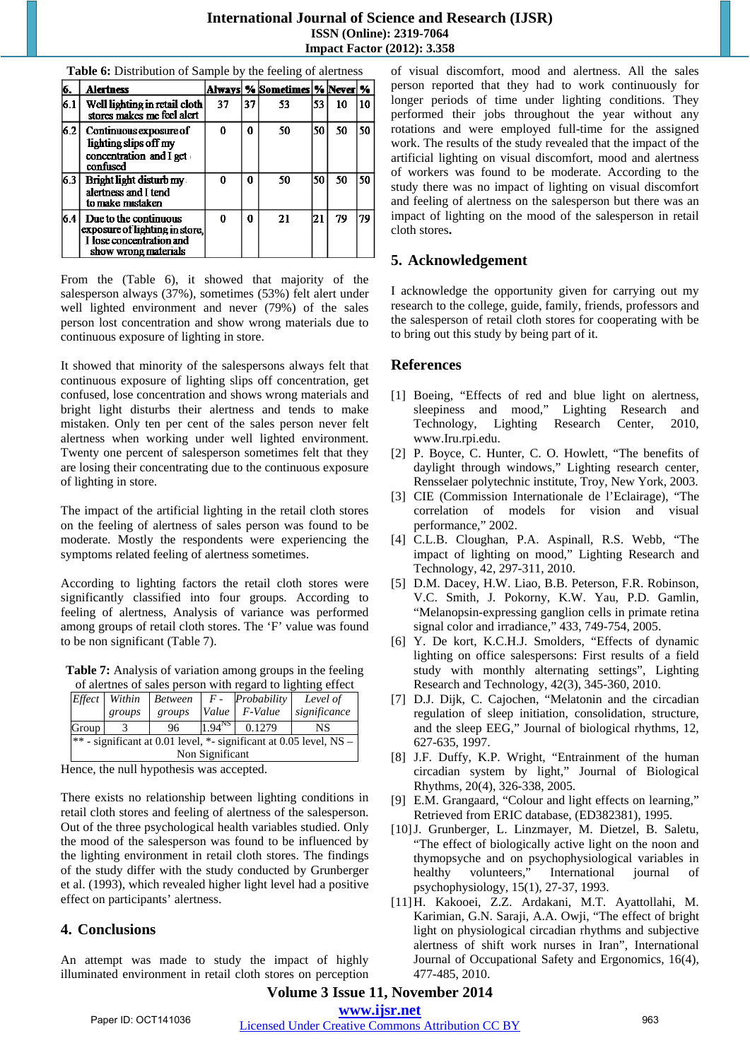## **International Journal of Science and Research (IJSR) ISSN (Online): 2319-7064 Impact Factor (2012): 3.358**

| б.  | <b>Alertness</b>                                                                                            |    |    | Always  %  Sometimes  %  Never  % |    |    |    |
|-----|-------------------------------------------------------------------------------------------------------------|----|----|-----------------------------------|----|----|----|
| 6.1 | Well lighting in retail cloth<br>stores makes me feel alert                                                 | 37 | 37 | 53                                | 53 | 10 | 10 |
| 6.2 | Continuous exposure of<br>lighting slips off my<br>concentration and I get<br>confused                      | 0  | 0  | 50                                | 50 | 50 | 50 |
| 6.3 | <b>Bright light disturb my</b><br>alertness and I tend<br>to make mistaken                                  | 0  | 0  | 50                                | 50 | 50 | 50 |
| 6.4 | Due to the continuous<br>exposure of lighting in store,<br>I lose concentration and<br>show wrong materials | 0  | O  | 21                                | 21 | 79 | 79 |

**Table 6:** Distribution of Sample by the feeling of alertness

From the (Table 6), it showed that majority of the salesperson always (37%), sometimes (53%) felt alert under well lighted environment and never (79%) of the sales person lost concentration and show wrong materials due to continuous exposure of lighting in store.

It showed that minority of the salespersons always felt that continuous exposure of lighting slips off concentration, get confused, lose concentration and shows wrong materials and bright light disturbs their alertness and tends to make mistaken. Only ten per cent of the sales person never felt alertness when working under well lighted environment. Twenty one percent of salesperson sometimes felt that they are losing their concentrating due to the continuous exposure of lighting in store.

The impact of the artificial lighting in the retail cloth stores on the feeling of alertness of sales person was found to be moderate. Mostly the respondents were experiencing the symptoms related feeling of alertness sometimes.

According to lighting factors the retail cloth stores were significantly classified into four groups. According to feeling of alertness, Analysis of variance was performed among groups of retail cloth stores. The 'F' value was found to be non significant (Table 7).

Table 7: Analysis of variation among groups in the feeling of alertnes of sales person with regard to lighting effect

| Effect                                                                   | Within | <b>Between</b> | $F$ -<br>Probability |         | Level of     |  |  |
|--------------------------------------------------------------------------|--------|----------------|----------------------|---------|--------------|--|--|
|                                                                          | groups | groups         | Value                | F-Value | significance |  |  |
| Group                                                                    |        | 96             | $1.94^{NS}$          | 0.1279  | NS           |  |  |
| $ **$ - significant at 0.01 level, $*$ - significant at 0.05 level, NS – |        |                |                      |         |              |  |  |
| Non Significant                                                          |        |                |                      |         |              |  |  |

Hence, the null hypothesis was accepted.

There exists no relationship between lighting conditions in retail cloth stores and feeling of alertness of the salesperson. Out of the three psychological health variables studied. Only the mood of the salesperson was found to be influenced by the lighting environment in retail cloth stores. The findings of the study differ with the study conducted by Grunberger et al. (1993), which revealed higher light level had a positive effect on participants' alertness.

## **4. Conclusions**

An attempt was made to study the impact of highly illuminated environment in retail cloth stores on perception of visual discomfort, mood and alertness. All the sales person reported that they had to work continuously for longer periods of time under lighting conditions. They performed their jobs throughout the year without any rotations and were employed full-time for the assigned work. The results of the study revealed that the impact of the artificial lighting on visual discomfort, mood and alertness of workers was found to be moderate. According to the study there was no impact of lighting on visual discomfort and feeling of alertness on the salesperson but there was an impact of lighting on the mood of the salesperson in retail cloth stores**.** 

## **5. Acknowledgement**

I acknowledge the opportunity given for carrying out my research to the college, guide, family, friends, professors and the salesperson of retail cloth stores for cooperating with be to bring out this study by being part of it.

## **References**

- [1] Boeing, "Effects of red and blue light on alertness, sleepiness and mood," Lighting Research and Technology, Lighting Research Center, 2010, www.Iru.rpi.edu.
- [2] P. Boyce, C. Hunter, C. O. Howlett, "The benefits of daylight through windows," Lighting research center, Rensselaer polytechnic institute, Troy, New York, 2003.
- [3] CIE (Commission Internationale de l'Eclairage), "The correlation of models for vision and visual performance," 2002.
- [4] C.L.B. Cloughan, P.A. Aspinall, R.S. Webb, "The impact of lighting on mood," Lighting Research and Technology, 42, 297-311, 2010.
- [5] D.M. Dacey, H.W. Liao, B.B. Peterson, F.R. Robinson, V.C. Smith, J. Pokorny, K.W. Yau, P.D. Gamlin, "Melanopsin-expressing ganglion cells in primate retina signal color and irradiance," 433, 749-754, 2005.
- [6] Y. De kort, K.C.H.J. Smolders, "Effects of dynamic lighting on office salespersons: First results of a field study with monthly alternating settings", Lighting Research and Technology, 42(3), 345-360, 2010.
- [7] D.J. Dijk, C. Cajochen, "Melatonin and the circadian regulation of sleep initiation, consolidation, structure, and the sleep EEG," Journal of biological rhythms, 12, 627-635, 1997.
- [8] J.F. Duffy, K.P. Wright, "Entrainment of the human circadian system by light," Journal of Biological Rhythms, 20(4), 326-338, 2005.
- [9] E.M. Grangaard, "Colour and light effects on learning," Retrieved from ERIC database, (ED382381), 1995.
- [10]J. Grunberger, L. Linzmayer, M. Dietzel, B. Saletu, "The effect of biologically active light on the noon and thymopsyche and on psychophysiological variables in healthy volunteers," International journal of psychophysiology, 15(1), 27-37, 1993.
- [11]H. Kakooei, Z.Z. Ardakani, M.T. Ayattollahi, M. Karimian, G.N. Saraji, A.A. Owji, "The effect of bright light on physiological circadian rhythms and subjective alertness of shift work nurses in Iran", International Journal of Occupational Safety and Ergonomics, 16(4), 477-485, 2010.

# **Volume 3 Issue 11, November 2014**